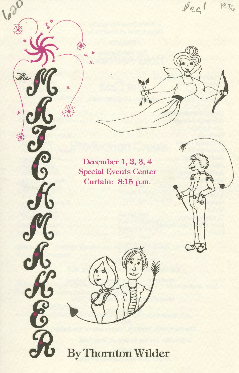Decl 19 The

December 1, 2, 3, 4 **Special Events Center** Curtain: 8:15 p.m.

来

 $\ast$ 

e<br>9

BOK

By Thornton Wilder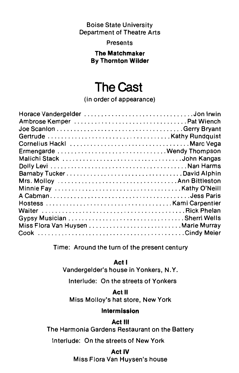### Boise State University Department of Theatre Arts

Presents

### **The Matchmaker By Thornton Wilder**

# **The Cast**

(in order of appearance)

| Ermengarde Wendy Thompson  |  |
|----------------------------|--|
|                            |  |
|                            |  |
| Barnaby TuckerDavid Alphin |  |
|                            |  |
|                            |  |
|                            |  |
|                            |  |
|                            |  |
|                            |  |
|                            |  |
|                            |  |
|                            |  |

Time: Around the turn of the present century

**Act** I

Vandergelder's house in Yonkers, N.Y.

Interlude: On the streets of Yonkers

**Act** II

Miss Molloy's hat store, New York

### **Intermission**

### **Act** Ill

The Harmonia Gardens Restaurant on the Battery

Interlude: On the streets of New York

### **Act IV**

Miss Flora Van Huysen's house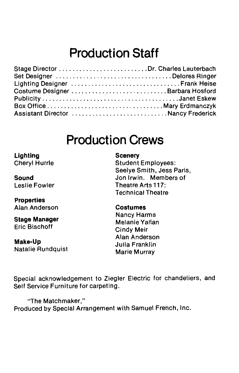# **Production Staff**

| Set Designer Delores Ringer        |  |
|------------------------------------|--|
|                                    |  |
|                                    |  |
|                                    |  |
|                                    |  |
| Assistant Director Nancy Frederick |  |

### **Production Crews**

**Lighting**  Cheryl Hurrle

**Sound**  Leslie Fowler

**Properties**  Alan Anderson

**Stage Manager**  Eric Bischoff

**Make-Up**  Natalie Rundquist

### **Scenery**

Student Employees: Seelye Smith, Jess Paris, Jon Irwin. Members of Theatre Arts 117: Technical Theatre

#### **Costumes**

Nancy Harms Melanie Yallan Cindy Meir Alan Anderson Julia Franklin Marie Murray

Special acknowledgement to Ziegler Electric for chandeliers, and Self Service Furniture for carpeting.

"The Matchmaker," Produced by Special Arrangement with Samuel French, Inc.